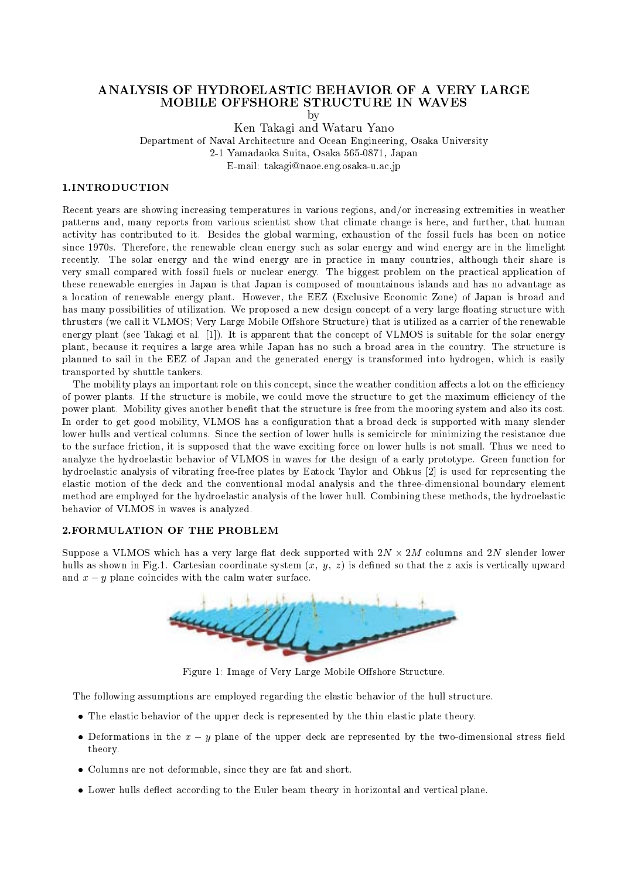# ANALYSIS OF HYDROELASTIC BEHAVIOR OF A VERY LARGE MOBILE OFFSHORE STRUCTURE IN WAVES

by

ken Takagi and Wataru Yano Wataru Yano wa Takagi wa Tanzani ya Tanzani wa Tanzani ya Wanda wa Tanzani ya Tanza Department of Naval Architecture and Ocean Engineering, Osaka University

- Yamadaoka Suita Osaka Japan

 $\blacksquare$  takaginaoen  $\sqcap$  =  $\blacksquare$  takaginaoen taka unit  $\sqcap$  .

Recent years are showing increasing temperatures in various regions and
or increasing extremities in weather patterns and, many reports from various scientist show that climate change is here, and further, that human activity has contributed to it. Besides the global warming, exhaustion of the fossil fuels has been on notice since 1970s. Therefore, the renewable clean energy such as solar energy and wind energy are in the limelight recently. The solar energy and the wind energy are in practice in many countries, although their share is very small compared with fossil fuels or nuclear energy The biggest problem on the practical application of these renewable energies in Japan is that Japan is composed of mountainous islands and has no advantage as a location of renewable energy plant. However, the EEZ (Exclusive Economic Zone) of Japan is broad and has many possibilities of utilization. We proposed a new design concept of a very large floating structure with thrusters (we call it VLMOS; Very Large Mobile Offshore Structure) that is utilized as a carrier of the renewable energy plant (see Takagi et al.  $[1]$ ). It is apparent that the concept of VLMOS is suitable for the solar energy plant, because it requires a large area while Japan has no such a broad area in the country. The structure is planned to sail in the EEZ of Japan and the generated energy is transformed into hydrogen, which is easily transported by shuttle tankers

The mobility plays an important role on this concept, since the weather condition affects a lot on the efficiency of power plants. If the structure is mobile, we could move the structure to get the maximum efficiency of the power plant. Mobility gives another benefit that the structure is free from the mooring system and also its cost. In order to get good mobility, VLMOS has a configuration that a broad deck is supported with many slender lower hulls and vertical columns Since the section of lower hulls is semicircle for minimizing the resistance due to the surface friction, it is supposed that the wave exciting force on lower hulls is not small. Thus we need to analyze the hydroelastic behavior of VLMOS in waves for the design of a early prototype Green function for hydroelastic analysis of vibrating freefree plates by Eatock Taylor and Ohkus - is used for representing the elastic motion of the deck and the conventional modal analysis and the threedimensional boundary element method are employed for the hydroelastic analysis of the lower hull. Combining these methods, the hydroelastic behavior of VLMOS in waves is analyzed

suppose a victimize at deck supported with - with - with - with - with - with - with - with - with - with - with - with - with - with - with - with - with - with - with - with - with - with - with - with - with - with - wi hulls as shown in Fig.1. Cartesian coordinate system  $(x, y, z)$  is defined so that the z axis is vertically upward and x - y planet coincides with the coincide with the concernent water with the coincides with the coincide of



Figure Image of Very Large Mobile Oshore Structure

The following assumptions are employed regarding the elastic behavior of the hull structure

- The elastic behavior of the upper deck is represented by the thin elastic plate theory
- Deformations in the <sup>x</sup> <sup>y</sup> plane of the upper deck are represented by the twodimensional stress eld theory
- Columns are not deformable since they are fat and short
- Lower hulls deect according to the Euler beam theory in horizontal and vertical plane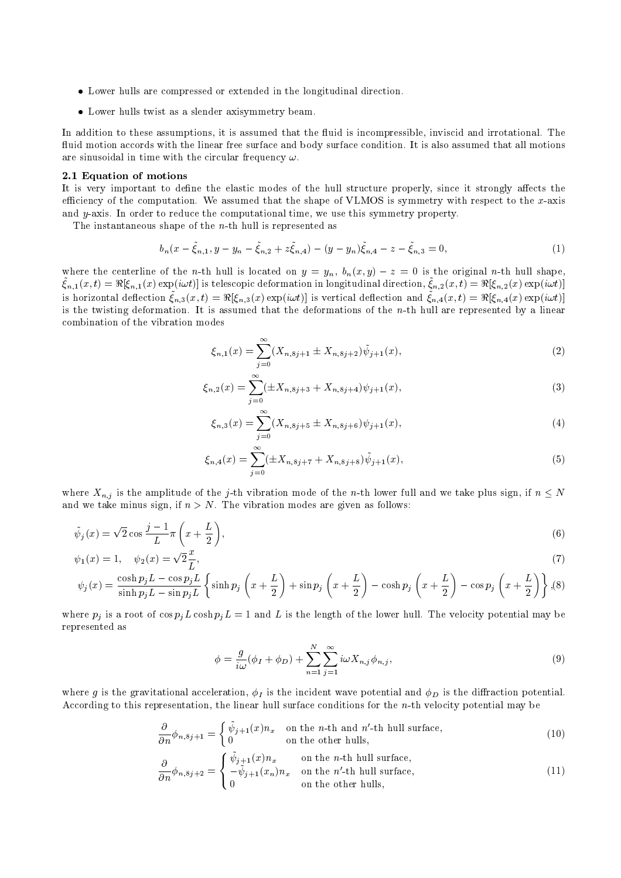- $\bullet$  Lower hulls are compressed or extended in the longitudinal direction.
- Lower hulls twist as a slender axisymmetry beam.

In addition to these assumptions- it is assumed that the uid is incompressible- inviscid and irrotational The fluid motion accords with the linear free surface and body surface condition. It is also assumed that all motions are sinusoidal in time with the circular frequency  $\omega$ .

### - Equation of motions

It is very important to dene the elastic modes of the hull structure properly- since it strongly aects the efficiency of the computation. We assumed that the shape of VLMOS is symmetry with respect to the  $x$ -axis and yaxis In orderto reduce the computational time- we use this symmetry property

The instantaneous shape of the  $n$ -th hull is represented as

$$
b_n(x - \tilde{\xi}_{n,1}, y - y_n - \tilde{\xi}_{n,2} + z\tilde{\xi}_{n,4}) - (y - y_n)\tilde{\xi}_{n,4} - z - \tilde{\xi}_{n,3} = 0,
$$
\n(1)

where the centerline of the *n*-th hull is located on  $y = y_n$ ,  $v_n(x, y) = z = 0$  is the original *n*-th hull shape,  $\zeta_{n,1}(x,\nu) = \pi(\zeta_{n,1}(x) \exp(i\omega \nu))$  is telescopic deformation in longitudinal direction,  $\zeta_{n,2}(x,\nu) = \pi(\zeta_{n,2}(x) \exp(i\omega \nu))$ is horizontal deflection  $\zeta_{n,3}(x,t) = x_{\lfloor \zeta_{n,3}(x) \rfloor}$  explorely is vertical deflection and  $\zeta_{n,4}(x,t) = x_{\lfloor \zeta_{n,4}(x) \rfloor}$  explorely is the twisting deformation. It is assumed that the deformations of the  $n$ -th hull are represented by a linear combination of the vibration modes

$$
\xi_{n,1}(x) = \sum_{j=0}^{\infty} (X_{n,8j+1} \pm X_{n,8j+2}) \tilde{\psi}_{j+1}(x), \tag{2}
$$

$$
\xi_{n,2}(x) = \sum_{j=0}^{\infty} (\pm X_{n,8j+3} + X_{n,8j+4}) \psi_{j+1}(x), \tag{3}
$$

$$
\xi_{n,3}(x) = \sum_{j=0}^{\infty} (X_{n,8j+5} \pm X_{n,8j+6}) \psi_{j+1}(x), \tag{4}
$$

$$
\xi_{n,4}(x) = \sum_{j=0}^{\infty} (\pm X_{n,8j+7} + X_{n,8j+8}) \tilde{\psi}_{j+1}(x), \tag{5}
$$

where  $\mathbf{r} = \mathbf{u}_1$  is the amplitude of the junction model model of the nth lower function  $\mathbf{r} = \mathbf{v}_1$  and  $\mathbf{v}_2$  and  $\mathbf{v}_3$ and we take minus sign-part of  $\lambda$  . The vibration minus signals are given as follows we are given as

$$
\tilde{\psi}_j(x) = \sqrt{2}\cos\frac{j-1}{L}\pi\left(x + \frac{L}{2}\right),\tag{6}
$$

$$
\psi_1(x) = 1, \quad \psi_2(x) = \sqrt{2} \frac{x}{L},\tag{7}
$$

$$
\psi_j(x) = \frac{\cosh p_j L - \cos p_j L}{\sinh p_j L - \sin p_j L} \left\{ \sinh p_j \left( x + \frac{L}{2} \right) + \sin p_j \left( x + \frac{L}{2} \right) - \cosh p_j \left( x + \frac{L}{2} \right) - \cos p_j \left( x + \frac{L}{2} \right) \right\}, (8)
$$

where  $p_j$  is a root of  $\cos p_j L \cosh p_j L = 1$  and L is the length of the lower hull. The velocity potential may be represented as

$$
\phi = \frac{g}{i\omega}(\phi_I + \phi_D) + \sum_{n=1}^{N} \sum_{j=1}^{\infty} i\omega X_{n,j} \phi_{n,j},\tag{9}
$$

where g is the gravitation-correspondent wave potential and D is the incident wave and  $\eta$  is the direction-correspondent wave potential and D is the direction potential and D is the direction potential and D is the direc According to this representation- the linear hull surface conditions for the nth velocity potential may be

$$
\frac{\partial}{\partial n}\phi_{n,8j+1} = \begin{cases} \tilde{\psi}_{j+1}(x)n_x & \text{on the } n\text{-th and } n'\text{-th hull surface,} \\ 0 & \text{on the other hulls,} \end{cases}
$$
(10)

$$
\frac{\partial}{\partial n}\phi_{n,8j+2} = \begin{cases} \tilde{\psi}_{j+1}(x)n_x & \text{on the } n\text{-th hull surface,} \\ -\tilde{\psi}_{j+1}(x_n)n_x & \text{on the } n'\text{-th hull surface,} \\ 0 & \text{on the other hulls,} \end{cases}
$$
(11)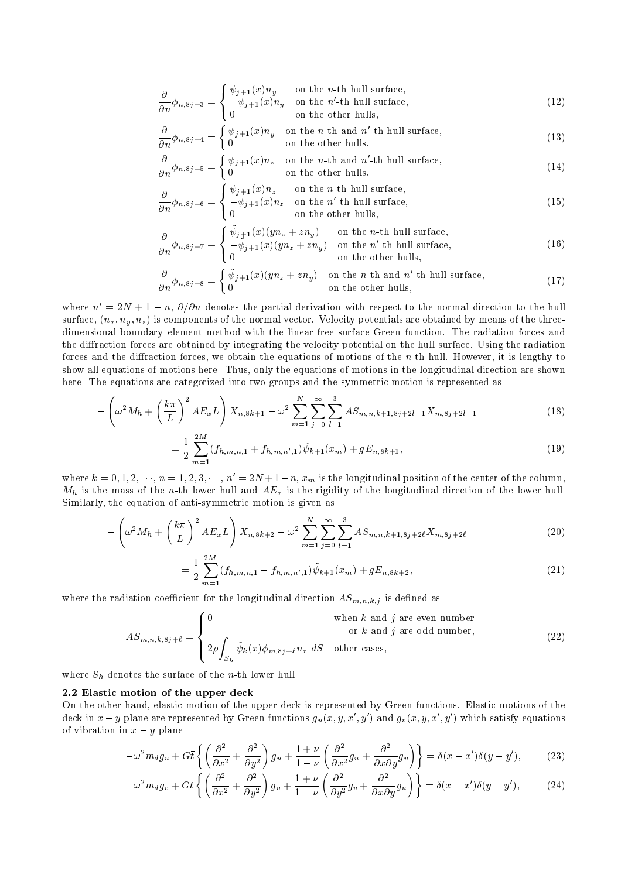$$
\frac{\partial}{\partial n}\phi_{n,8j+3} = \begin{cases} \psi_{j+1}(x)n_y & \text{on the } n\text{-th hull surface,} \\ -\psi_{j+1}(x)n_y & \text{on the } n'\text{-th hull surface,} \\ 0 & \text{on the other hulls,} \end{cases}
$$
(12)

$$
\frac{\partial}{\partial n}\phi_{n,8j+4} = \begin{cases} \psi_{j+1}(x)n_y & \text{on the } n\text{-th and } n'\text{-th hull surface,} \\ 0 & \text{on the other hulls,} \end{cases}
$$
(13)

$$
\frac{\partial}{\partial n}\phi_{n,8j+5} = \begin{cases} \psi_{j+1}(x)n_z & \text{on the } n\text{-th and } n'\text{-th hull surface,} \\ 0 & \text{on the other hulls,} \end{cases}
$$
(14)

$$
\frac{\partial}{\partial n}\phi_{n,8j+6} = \begin{cases} \psi_{j+1}(x)n_z & \text{on the } n\text{-th hull surface,} \\ -\psi_{j+1}(x)n_z & \text{on the } n'\text{-th hull surface,} \\ 0 & \text{on the other hulls,} \end{cases}
$$
(15)

$$
\frac{\partial}{\partial n}\phi_{n,8j+7} = \begin{cases} \tilde{\psi}_{j+1}(x)(yn_z + zn_y) & \text{on the } n\text{-th hull surface,} \\ -\tilde{\psi}_{j+1}(x)(yn_z + zn_y) & \text{on the } n'\text{-th hull surface,} \\ 0 & \text{on the other hulls,} \end{cases}
$$
(16)

$$
\frac{\partial}{\partial n}\phi_{n,8j+8} = \begin{cases} \tilde{\psi}_{j+1}(x)(yn_z + zn_y) & \text{on the } n\text{-th and } n'\text{-th hull surface,} \\ 0 & \text{on the other hulls,} \end{cases}
$$
(17)

where  $n = 2N + 1 - n$ ,  $\sigma/\sigma n$  denotes the partial derivation with respect to the normal direction to the hull surface  $\{ \cdot \cdot \mu \}$  is components of the normal vector Velocity potentials are obtained by measured by measured the three dimensional boundary element method with the linear free surface Green function  $\mathcal{L}$  and radiation for radiation for the diraction forces are obtained by integrating the velocity potential on thehull surface Using the radiation forces and the diraction forces we obtain theequations of motions of the nth hull However it is lengthy to show all equations of motions here Thus only the equations of motions in thelongitudinal direction are shown here The equations are categorized into two groups and thesymmetric motion is represented as

$$
-\left(\omega^2 M_h + \left(\frac{k\pi}{L}\right)^2 A E_x L\right) X_{n,8k+1} - \omega^2 \sum_{m=1}^N \sum_{j=0}^\infty \sum_{l=1}^3 A S_{m,n,k+1,8j+2l-1} X_{m,8j+2l-1}
$$
\n(18)

$$
= \frac{1}{2} \sum_{m=1}^{2m} (f_{h,m,n,1} + f_{h,m,n',1}) \tilde{\psi}_{k+1}(x_m) + g E_{n,8k+1}, \tag{19}
$$

where  $\kappa = 0, 1, 2, \cdots, n = 1, 2, 3, \cdots, n = 2N + 1 - n, x_m$  is the longitudinal position of the center of the column,  $M_h$  is the mass of the n-th lower hull and  $AE_x$  is the rigidity of the longitudinal direction of the lower hull.  $S$  imilarly the equation of antisymmetric motion is given as  $\mathcal{G}$  . The simmetric motion is given as

$$
-\left(\omega^2 M_h + \left(\frac{k\pi}{L}\right)^2 A E_x L\right) X_{n,8k+2} - \omega^2 \sum_{m=1}^N \sum_{j=0}^\infty \sum_{l=1}^3 A S_{m,n,k+1,8j+2l} X_{m,8j+2l} \tag{20}
$$

$$
=\frac{1}{2}\sum_{m=1}^{2M}(f_{h,m,n,1}-f_{h,m,n',1})\tilde{\psi}_{k+1}(x_m)+gE_{n,8k+2},\tag{21}
$$

where the radiation coefficient for the longitudinal direction  $\frac{1}{2}$  is denoted as  $\frac{1}{2}$  is denoted as  $\frac{1}{2}$ 

$$
AS_{m,n,k,8j+\ell} = \begin{cases} 0 & \text{when } k \text{ and } j \text{ are even number} \\ 2\rho \int_{S_h} \tilde{\psi}_k(x) \phi_{m,8j+\ell} n_x \, dS & \text{other cases,} \end{cases} \tag{22}
$$

where Sh  $\mu$  denotes the surface of the surface of the surface of the surface of the surface of the  $\mu$ 

### - Elastic motion of the upper deck of the upper deck of the upper deck of the upper deck of the upper deck of the u

On theother hand elastic motion of the upper deck is represented by Green functions Elastic motions of the deck in  $x - y$  plane are represented by Green functions  $g_u(x, y, x \, , y \, )$  and  $g_v(x, y, x \, , y \, )$  which satisfy equations of vibration in a set  $\mathcal{X}$  planet in a set  $\mathcal{X}$ 

$$
-\omega^2 m_d g_u + G \bar{t} \left\{ \left( \frac{\partial^2}{\partial x^2} + \frac{\partial^2}{\partial y^2} \right) g_u + \frac{1+\nu}{1-\nu} \left( \frac{\partial^2}{\partial x^2} g_u + \frac{\partial^2}{\partial x \partial y} g_v \right) \right\} = \delta(x - x') \delta(y - y'),\tag{23}
$$

$$
-\omega^2 m_d g_v + G\bar{t}\left\{ \left(\frac{\partial^2}{\partial x^2} + \frac{\partial^2}{\partial y^2}\right)g_v + \frac{1+\nu}{1-\nu}\left(\frac{\partial^2}{\partial y^2}g_v + \frac{\partial^2}{\partial x\partial y}g_u\right)\right\} = \delta(x-x')\delta(y-y'),\tag{24}
$$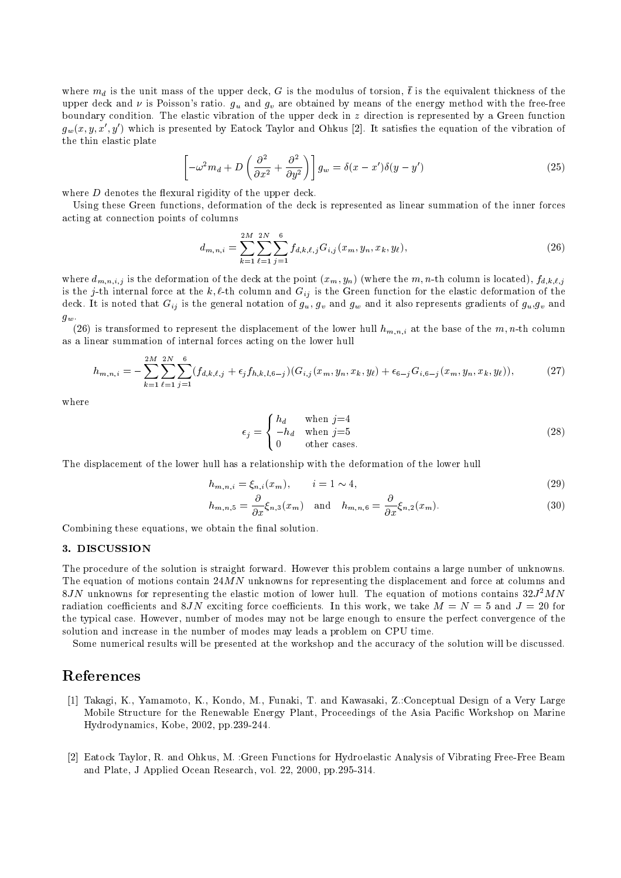where  $m_d$  is the unit mass of the upper deck,  $G$  is the modulus of torsion,  $\iota$  is the equivalent thickness of the upper deck and  $\nu$  is Poisson's ratio.  $g_u$  and  $g_v$  are obtained by means of the energy method with the free-free boundary condition. The elastic vibration of the upper deck in  $z$  direction is represented by a Green function  $g_w(x,y,x|y)$  which is presented by Eatock Taylor and Ohkus  $|z|$ . It satisfies the equation of the vibration of the thin elastic plate

$$
\left[-\omega^2 m_d + D\left(\frac{\partial^2}{\partial x^2} + \frac{\partial^2}{\partial y^2}\right)\right]g_w = \delta(x - x')\delta(y - y')
$$
\n(25)

where  $D$  denotes the flexural rigidity of the upper deck.

Using these Green functions deformation of the deck is represented as linear summation of the inner forces acting at connection points of columns

$$
d_{m,n,i} = \sum_{k=1}^{2M} \sum_{\ell=1}^{2N} \sum_{j=1}^{6} f_{d,k,\ell,j} G_{i,j}(x_m, y_n, x_k, y_\ell), \qquad (26)
$$

where  $a_{m,n,i,j}$  is the deformation of the deck at the point  $(x_m, y_n)$  (where the m, n-th column is located),  $f_{d,k,\ell,j}$ julija kaskima programa iz kontraŭ kaj kaj kontraŭ kaj kaj kontraŭ kaj kontraŭ kaj kontraŭ kaj kontraŭ kontraŭ is the  $j$ -th internal force at the  $\kappa, \epsilon$ -th column and  $\alpha_{ij}$  is the Green function for the elastic deformation of the deck. It is noted that  $G_{ij}$  is the general notation of  $g_u, g_v$  and  $g_w$  and it also represents gradients of  $g_u, g_v$  and

(26) is transformed to represent the displacement of the lower hull  $h_{m,n,i}$  at the base of the m, n-th column as a linear summation of internal forces acting on thelower hull

$$
h_{m,n,i} = -\sum_{k=1}^{2M} \sum_{\ell=1}^{2N} \sum_{j=1}^{6} (f_{d,k,\ell,j} + \epsilon_j f_{h,k,l,6-j}) (G_{i,j}(x_m, y_n, x_k, y_\ell) + \epsilon_{6-j} G_{i,6-j}(x_m, y_n, x_k, y_\ell)),
$$
(27)

where

$$
\epsilon_j = \begin{cases} h_d & \text{when } j=4\\ -h_d & \text{when } j=5\\ 0 & \text{other cases.} \end{cases}
$$
 (28)

The displacement of the lower hull has a relationship with the deformation of the lower hull

$$
h_{m,n,i} = \xi_{n,i}(x_m), \qquad i = 1 \sim 4,\tag{29}
$$

$$
h_{m,n,5} = \frac{\partial}{\partial x} \xi_{n,3}(x_m) \quad \text{and} \quad h_{m,n,6} = \frac{\partial}{\partial x} \xi_{n,2}(x_m). \tag{30}
$$

Combining these equations, we obtain the final solution.

The procedure of the solution is straight forward. However this problem contains a large number of unknowns. The equation of motions contain  $24MN$  unknowns for representing the displacement and force at columns and  $\delta JN$  unknowns for representing the elastic motion of lower hull. The equation of motions contains  $32J^2MN$ radiation coefficients and 8JN exciting force coefficients. In this work, we take  $M = N = 5$  and  $J = 20$  for the typical case. However, number of modes may not be large enough to ensure the perfect convergence of the solution and increase in the number of modes may leads a problem on CPU time

Some numerical results will be presented at the workshop and the accuracy of the solution will be discussed.

# References

- Takagi K Yamamoto K Kondo M Funaki T and Kawasaki ZConceptual Design of a Very Large Mobile Structure for the Renewable Energy Plant, Proceedings of the Asia Pacific Workshop on Marine Hydrodynamics, Kobe,  $2002$ , pp. $239-244$ .
- Eatock Taylor R and Ohkus M Green Functions for Hydroelastic Analysis of Vibrating FreeFree Beam and Plate, J Applied Ocean Research, vol. 22, 2000, pp.295-314.